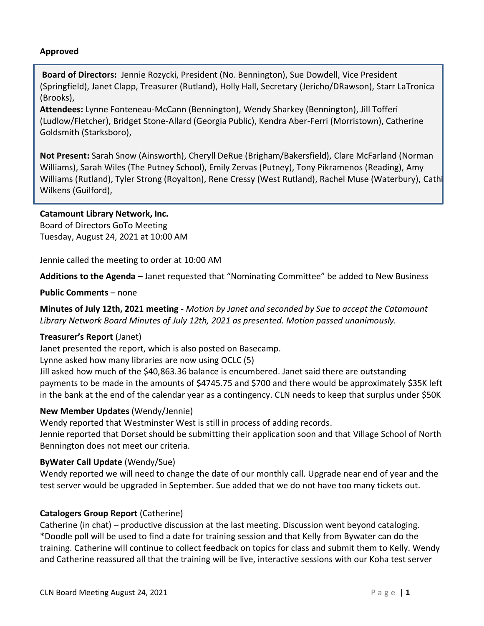#### **Approved**

**Board of Directors:** Jennie Rozycki, President (No. Bennington), Sue Dowdell, Vice President (Springfield), Janet Clapp, Treasurer (Rutland), Holly Hall, Secretary (Jericho/DRawson), Starr LaTronica (Brooks),

**Attendees:** Lynne Fonteneau-McCann (Bennington), Wendy Sharkey (Bennington), Jill Tofferi (Ludlow/Fletcher), Bridget Stone-Allard (Georgia Public), Kendra Aber-Ferri (Morristown), Catherine Goldsmith (Starksboro),

**Not Present:** Sarah Snow (Ainsworth), Cheryll DeRue (Brigham/Bakersfield), Clare McFarland (Norman Williams), Sarah Wiles (The Putney School), Emily Zervas (Putney), Tony Pikramenos (Reading), Amy Williams (Rutland), Tyler Strong (Royalton), Rene Cressy (West Rutland), Rachel Muse (Waterbury), Cathi Wilkens (Guilford),

#### **Catamount Library Network, Inc.**

Board of Directors GoTo Meeting Tuesday, August 24, 2021 at 10:00 AM

Jennie called the meeting to order at 10:00 AM

**Additions to the Agenda** – Janet requested that "Nominating Committee" be added to New Business

#### **Public Comments** – none

**Minutes of July 12th, 2021 meeting** - *Motion by Janet and seconded by Sue to accept the Catamount Library Network Board Minutes of July 12th, 2021 as presented. Motion passed unanimously.* 

### **Treasurer's Report** (Janet)

Janet presented the report, which is also posted on Basecamp.

Lynne asked how many libraries are now using OCLC (5)

Jill asked how much of the \$40,863.36 balance is encumbered. Janet said there are outstanding payments to be made in the amounts of \$4745.75 and \$700 and there would be approximately \$35K left in the bank at the end of the calendar year as a contingency. CLN needs to keep that surplus under \$50K

### **New Member Updates** (Wendy/Jennie)

Wendy reported that Westminster West is still in process of adding records. Jennie reported that Dorset should be submitting their application soon and that Village School of North Bennington does not meet our criteria.

### **ByWater Call Update** (Wendy/Sue)

Wendy reported we will need to change the date of our monthly call. Upgrade near end of year and the test server would be upgraded in September. Sue added that we do not have too many tickets out.

### **Catalogers Group Report** (Catherine)

Catherine (in chat) – productive discussion at the last meeting. Discussion went beyond cataloging. \*Doodle poll will be used to find a date for training session and that Kelly from Bywater can do the training. Catherine will continue to collect feedback on topics for class and submit them to Kelly. Wendy and Catherine reassured all that the training will be live, interactive sessions with our Koha test server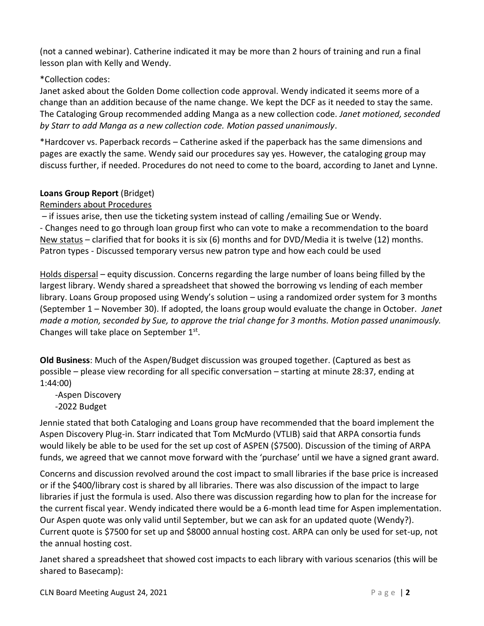(not a canned webinar). Catherine indicated it may be more than 2 hours of training and run a final lesson plan with Kelly and Wendy.

## \*Collection codes:

Janet asked about the Golden Dome collection code approval. Wendy indicated it seems more of a change than an addition because of the name change. We kept the DCF as it needed to stay the same. The Cataloging Group recommended adding Manga as a new collection code. *Janet motioned, seconded by Starr to add Manga as a new collection code. Motion passed unanimously*.

\*Hardcover vs. Paperback records – Catherine asked if the paperback has the same dimensions and pages are exactly the same. Wendy said our procedures say yes. However, the cataloging group may discuss further, if needed. Procedures do not need to come to the board, according to Janet and Lynne.

## **Loans Group Report** (Bridget)

Reminders about Procedures

– if issues arise, then use the ticketing system instead of calling /emailing Sue or Wendy.

- Changes need to go through loan group first who can vote to make a recommendation to the board New status – clarified that for books it is six (6) months and for DVD/Media it is twelve (12) months. Patron types - Discussed temporary versus new patron type and how each could be used

Holds dispersal – equity discussion. Concerns regarding the large number of loans being filled by the largest library. Wendy shared a spreadsheet that showed the borrowing vs lending of each member library. Loans Group proposed using Wendy's solution – using a randomized order system for 3 months (September 1 – November 30). If adopted, the loans group would evaluate the change in October. *Janet made a motion, seconded by Sue, to approve the trial change for 3 months. Motion passed unanimously.*  Changes will take place on September 1<sup>st</sup>.

**Old Business**: Much of the Aspen/Budget discussion was grouped together. (Captured as best as possible – please view recording for all specific conversation – starting at minute 28:37, ending at 1:44:00)

 -Aspen Discovery -2022 Budget

Jennie stated that both Cataloging and Loans group have recommended that the board implement the Aspen Discovery Plug-in. Starr indicated that Tom McMurdo (VTLIB) said that ARPA consortia funds would likely be able to be used for the set up cost of ASPEN (\$7500). Discussion of the timing of ARPA funds, we agreed that we cannot move forward with the 'purchase' until we have a signed grant award.

Concerns and discussion revolved around the cost impact to small libraries if the base price is increased or if the \$400/library cost is shared by all libraries. There was also discussion of the impact to large libraries if just the formula is used. Also there was discussion regarding how to plan for the increase for the current fiscal year. Wendy indicated there would be a 6-month lead time for Aspen implementation. Our Aspen quote was only valid until September, but we can ask for an updated quote (Wendy?). Current quote is \$7500 for set up and \$8000 annual hosting cost. ARPA can only be used for set-up, not the annual hosting cost.

Janet shared a spreadsheet that showed cost impacts to each library with various scenarios (this will be shared to Basecamp):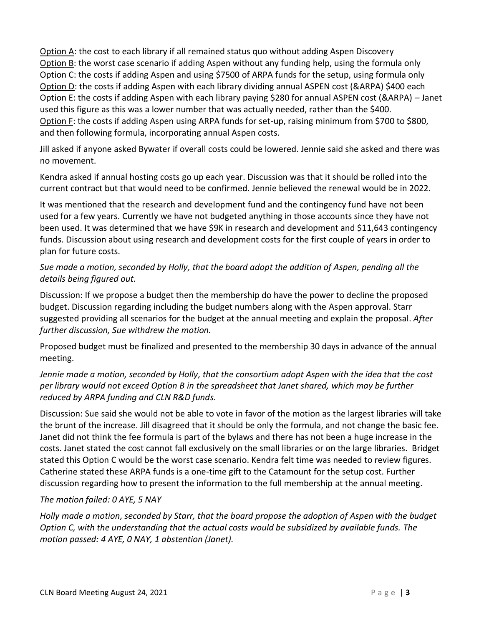Option A: the cost to each library if all remained status quo without adding Aspen Discovery Option B: the worst case scenario if adding Aspen without any funding help, using the formula only Option C: the costs if adding Aspen and using \$7500 of ARPA funds for the setup, using formula only Option D: the costs if adding Aspen with each library dividing annual ASPEN cost (&ARPA) \$400 each Option E: the costs if adding Aspen with each library paying \$280 for annual ASPEN cost (&ARPA) – Janet used this figure as this was a lower number that was actually needed, rather than the \$400. Option F: the costs if adding Aspen using ARPA funds for set-up, raising minimum from \$700 to \$800, and then following formula, incorporating annual Aspen costs.

Jill asked if anyone asked Bywater if overall costs could be lowered. Jennie said she asked and there was no movement.

Kendra asked if annual hosting costs go up each year. Discussion was that it should be rolled into the current contract but that would need to be confirmed. Jennie believed the renewal would be in 2022.

It was mentioned that the research and development fund and the contingency fund have not been used for a few years. Currently we have not budgeted anything in those accounts since they have not been used. It was determined that we have \$9K in research and development and \$11,643 contingency funds. Discussion about using research and development costs for the first couple of years in order to plan for future costs.

# *Sue made a motion, seconded by Holly, that the board adopt the addition of Aspen, pending all the details being figured out.*

Discussion: If we propose a budget then the membership do have the power to decline the proposed budget. Discussion regarding including the budget numbers along with the Aspen approval. Starr suggested providing all scenarios for the budget at the annual meeting and explain the proposal. *After further discussion, Sue withdrew the motion.* 

Proposed budget must be finalized and presented to the membership 30 days in advance of the annual meeting.

## *Jennie made a motion, seconded by Holly, that the consortium adopt Aspen with the idea that the cost per library would not exceed Option B in the spreadsheet that Janet shared, which may be further reduced by ARPA funding and CLN R&D funds.*

Discussion: Sue said she would not be able to vote in favor of the motion as the largest libraries will take the brunt of the increase. Jill disagreed that it should be only the formula, and not change the basic fee. Janet did not think the fee formula is part of the bylaws and there has not been a huge increase in the costs. Janet stated the cost cannot fall exclusively on the small libraries or on the large libraries. Bridget stated this Option C would be the worst case scenario. Kendra felt time was needed to review figures. Catherine stated these ARPA funds is a one-time gift to the Catamount for the setup cost. Further discussion regarding how to present the information to the full membership at the annual meeting.

# *The motion failed: 0 AYE, 5 NAY*

*Holly made a motion, seconded by Starr, that the board propose the adoption of Aspen with the budget Option C, with the understanding that the actual costs would be subsidized by available funds. The motion passed: 4 AYE, 0 NAY, 1 abstention (Janet).*